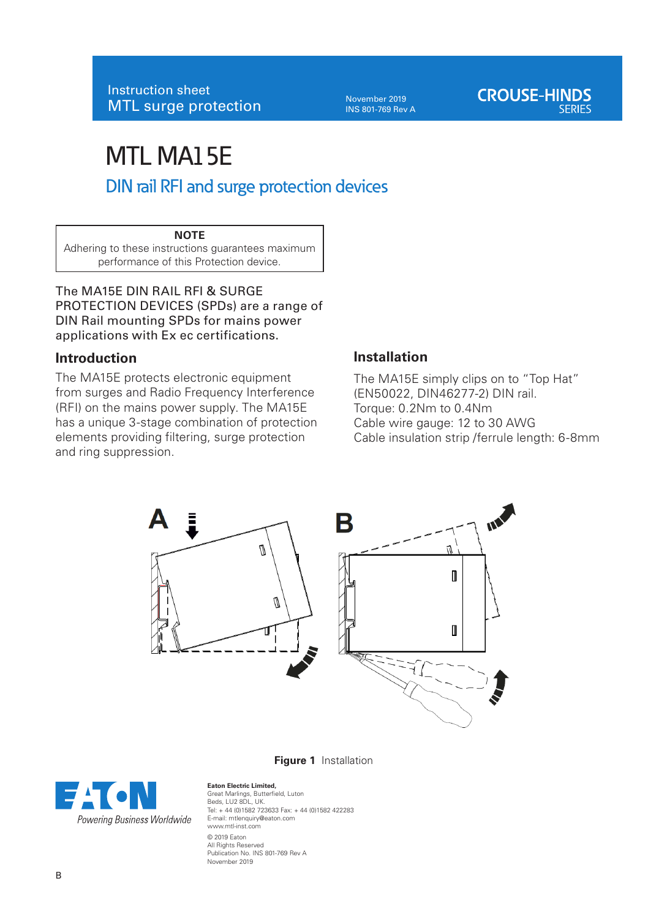November 2019 INS 801-769 Rev A

# MTL MA15E DIN rail RFI and surge protection devices

## **NOTE**

Adhering to these instructions guarantees maximum performance of this Protection device.

The MA15E DIN RAIL RFI & SURGE PROTECTION DEVICES (SPDs) are a range of DIN Rail mounting SPDs for mains power applications with Ex ec certifications.

## **Introduction**

The MA15E protects electronic equipment from surges and Radio Frequency Interference (RFI) on the mains power supply. The MA15E has a unique 3-stage combination of protection elements providing filtering, surge protection and ring suppression.

## **Installation**

The MA15E simply clips on to "Top Hat" (EN50022, DIN46277-2) DIN rail. Torque: 0.2Nm to 0.4Nm Cable wire gauge: 12 to 30 AWG Cable insulation strip /ferrule length: 6-8mm



**Figure 1** Installation

#### **Eaton Electric Limited,**

Great Marlings, Butterfield, Luton Beds, LU2 8DL, UK. Tel: + 44 (0)1582 723633 Fax: + 44 (0)1582 422283 E-mail: mtlenquiry@eaton.com www.mtl-inst.com © 2019 Eaton All Rights Reserved Publication No. INS 801-769 Rev A November 2019

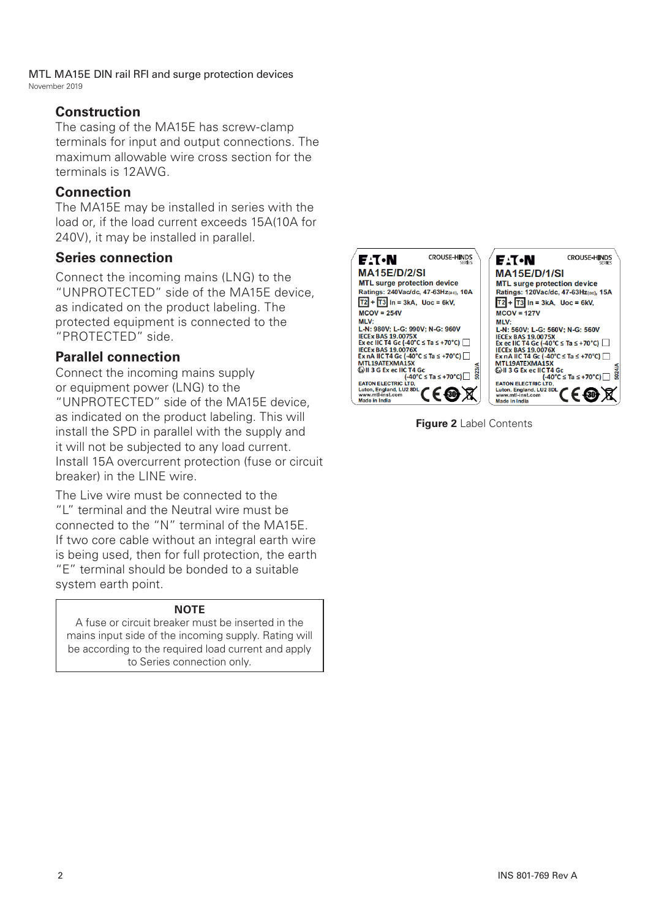MTL MA15E DIN rail RFI and surge protection devices November 2019

## **Construction**

The casing of the MA15E has screw-clamp terminals for input and output connections. The maximum allowable wire cross section for the terminals is 12AWG.

## **Connection**

The MA15E may be installed in series with the load or, if the load current exceeds 15A(10A for 240V), it may be installed in parallel.

## **Series connection**

Connect the incoming mains (LNG) to the "UNPROTECTED" side of the MA15E device, as indicated on the product labeling. The protected equipment is connected to the "PROTECTED" side.

## **Parallel connection**

Connect the incoming mains supply or equipment power (LNG) to the "UNPROTECTED" side of the MA15E device, as indicated on the product labeling. This will install the SPD in parallel with the supply and it will not be subjected to any load current. Install 15A overcurrent protection (fuse or circuit breaker) in the LINE wire.

The Live wire must be connected to the "L" terminal and the Neutral wire must be connected to the "N" terminal of the MA15E. If two core cable without an integral earth wire is being used, then for full protection, the earth "E" terminal should be bonded to a suitable system earth point.

### **NOTE**

A fuse or circuit breaker must be inserted in the mains input side of the incoming supply. Rating will be according to the required load current and apply to Series connection only.



**Figure 2** Label Contents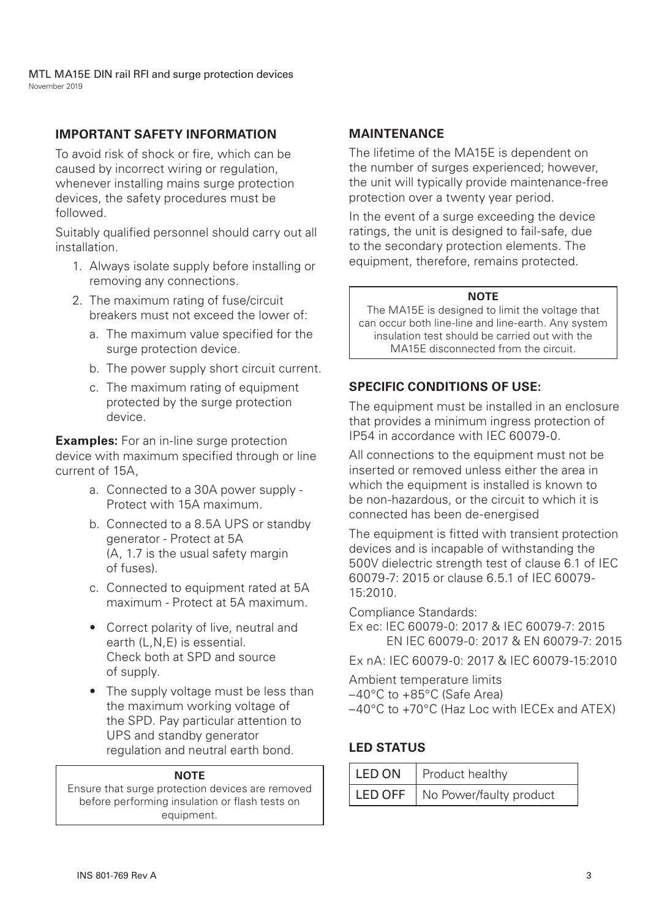MTL MA15E DIN rail RFI and surge protection devices November 2019

## **IMPORTANT SAFETY INFORMATION**

To avoid risk of shock or fire, which can be caused by incorrect wiring or regulation, whenever installing mains surge protection devices, the safety procedures must be followed.

Suitably qualified personnel should carry out all installation.

- 1. Always isolate supply before installing or removing any connections.
- 2. The maximum rating of fuse/circuit breakers must not exceed the lower of:
	- a. The maximum value specified for the surge protection device.
	- b. The power supply short circuit current.
	- c. The maximum rating of equipment protected by the surge protection device.

**Examples:** For an in-line surge protection device with maximum specified through or line current of 15A,

- a. Connected to a 30A power supply Protect with 15A maximum.
- b. Connected to a 8.5A UPS or standby generator - Protect at 5A (A, 1.7 is the usual safety margin of fuses).
- c. Connected to equipment rated at 5A maximum - Protect at 5A maximum.
- Correct polarity of live, neutral and earth (L,N,E) is essential. Check both at SPD and source of supply.
- The supply voltage must be less than the maximum working voltage of the SPD. Pay particular attention to UPS and standby generator regulation and neutral earth bond.

### **NOTE**

Ensure that surge protection devices are removed before performing insulation or flash tests on equipment.

## **MAINTENANCE**

The lifetime of the MA15E is dependent on the number of surges experienced; however, the unit will typically provide maintenance-free protection over a twenty year period.

In the event of a surge exceeding the device ratings, the unit is designed to fail-safe, due to the secondary protection elements. The equipment, therefore, remains protected.

#### **NOTE**

The MA15E is designed to limit the voltage that can occur both line-line and line-earth. Any system insulation test should be carried out with the MA15E disconnected from the circuit.

## **SPECIFIC CONDITIONS OF USE:**

The equipment must be installed in an enclosure that provides a minimum ingress protection of IP54 in accordance with IEC 60079-0.

All connections to the equipment must not be inserted or removed unless either the area in which the equipment is installed is known to be non-hazardous, or the circuit to which it is connected has been de-energised

The equipment is fitted with transient protection devices and is incapable of withstanding the 500V dielectric strength test of clause 6.1 of IEC 60079-7: 2015 or clause 6.5.1 of IEC 60079- 15:2010.

Compliance Standards:

- Ex ec: IEC 60079-0: 2017 & IEC 60079-7: 2015 EN IEC 60079-0: 2017 & EN 60079-7: 2015
- Ex nA: IEC 60079-0: 2017 & IEC 60079-15:2010

Ambient temperature limits –40°C to +85°C (Safe Area) –40°C to +70°C (Haz Loc with IECEx and ATEX)

## **LED STATUS**

| LED ON   Product healthy          |
|-----------------------------------|
| LED OFF   No Power/faulty product |